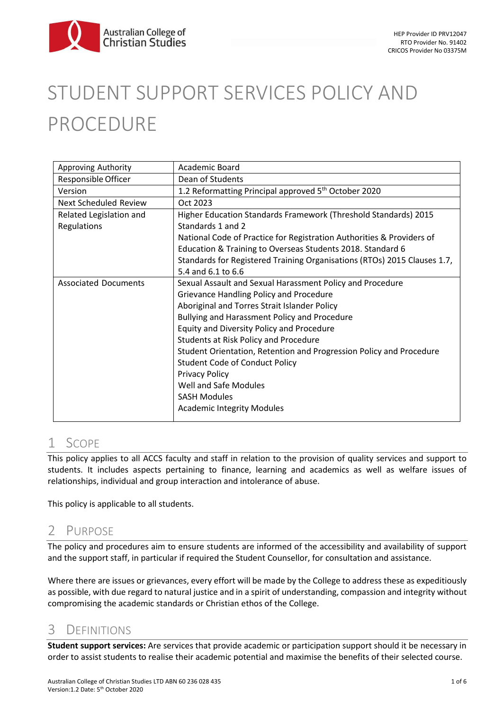

# STUDENT SUPPORT SERVICES POLICY AND PROCEDURE

| Approving Authority          | Academic Board                                                           |
|------------------------------|--------------------------------------------------------------------------|
| Responsible Officer          | Dean of Students                                                         |
| Version                      | 1.2 Reformatting Principal approved 5th October 2020                     |
| <b>Next Scheduled Review</b> | Oct 2023                                                                 |
| Related Legislation and      | Higher Education Standards Framework (Threshold Standards) 2015          |
| <b>Regulations</b>           | Standards 1 and 2                                                        |
|                              | National Code of Practice for Registration Authorities & Providers of    |
|                              | Education & Training to Overseas Students 2018. Standard 6               |
|                              | Standards for Registered Training Organisations (RTOs) 2015 Clauses 1.7, |
|                              | 5.4 and 6.1 to 6.6                                                       |
| <b>Associated Documents</b>  | Sexual Assault and Sexual Harassment Policy and Procedure                |
|                              | <b>Grievance Handling Policy and Procedure</b>                           |
|                              | Aboriginal and Torres Strait Islander Policy                             |
|                              | Bullying and Harassment Policy and Procedure                             |
|                              | Equity and Diversity Policy and Procedure                                |
|                              | Students at Risk Policy and Procedure                                    |
|                              | Student Orientation, Retention and Progression Policy and Procedure      |
|                              | <b>Student Code of Conduct Policy</b>                                    |
|                              | <b>Privacy Policy</b>                                                    |
|                              | Well and Safe Modules                                                    |
|                              | <b>SASH Modules</b>                                                      |
|                              | <b>Academic Integrity Modules</b>                                        |
|                              |                                                                          |

## 1 SCOPE

This policy applies to all ACCS faculty and staff in relation to the provision of quality services and support to students. It includes aspects pertaining to finance, learning and academics as well as welfare issues of relationships, individual and group interaction and intolerance of abuse.

This policy is applicable to all students.

## 2 PURPOSE

The policy and procedures aim to ensure students are informed of the accessibility and availability of support and the support staff, in particular if required the Student Counsellor, for consultation and assistance.

Where there are issues or grievances, every effort will be made by the College to address these as expeditiously as possible, with due regard to natural justice and in a spirit of understanding, compassion and integrity without compromising the academic standards or Christian ethos of the College.

## 3 DEFINITIONS

**Student support services:** Are services that provide academic or participation support should it be necessary in order to assist students to realise their academic potential and maximise the benefits of their selected course.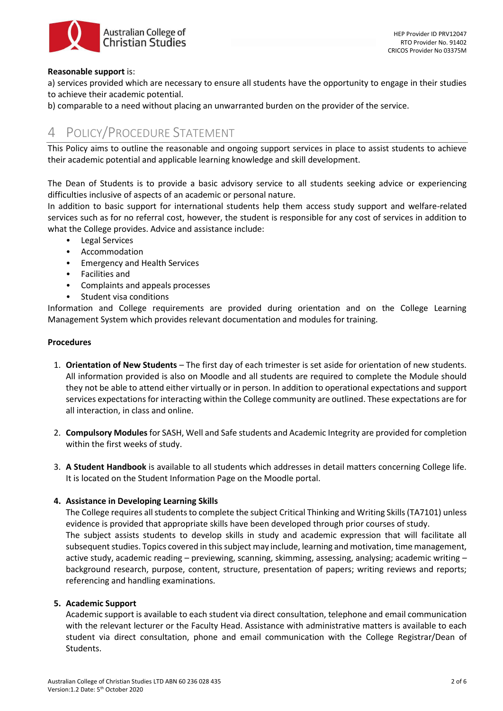



#### **Reasonable support** is:

a) services provided which are necessary to ensure all students have the opportunity to engage in their studies to achieve their academic potential.

b) comparable to a need without placing an unwarranted burden on the provider of the service.

# 4 POLICY/PROCEDURE STATEMENT

This Policy aims to outline the reasonable and ongoing support services in place to assist students to achieve their academic potential and applicable learning knowledge and skill development.

The Dean of Students is to provide a basic advisory service to all students seeking advice or experiencing difficulties inclusive of aspects of an academic or personal nature.

In addition to basic support for international students help them access study support and welfare-related services such as for no referral cost, however, the student is responsible for any cost of services in addition to what the College provides. Advice and assistance include:

- Legal Services
- Accommodation
- Emergency and Health Services
- Facilities and
- Complaints and appeals processes
- Student visa conditions

Information and College requirements are provided during orientation and on the College Learning Management System which provides relevant documentation and modules for training.

#### **Procedures**

- 1. **Orientation of New Students** The first day of each trimester is set aside for orientation of new students. All information provided is also on Moodle and all students are required to complete the Module should they not be able to attend either virtually or in person. In addition to operational expectations and support services expectations for interacting within the College community are outlined. These expectations are for all interaction, in class and online.
- 2. **Compulsory Modules**for SASH, Well and Safe students and Academic Integrity are provided for completion within the first weeks of study.
- 3. **A Student Handbook** is available to all students which addresses in detail matters concerning College life. It is located on the Student Information Page on the Moodle portal.

#### **4. Assistance in Developing Learning Skills**

The College requires all students to complete the subject Critical Thinking and Writing Skills(TA7101) unless evidence is provided that appropriate skills have been developed through prior courses of study. The subject assists students to develop skills in study and academic expression that will facilitate all subsequent studies. Topics covered in this subject may include, learning and motivation, time management, active study, academic reading – previewing, scanning, skimming, assessing, analysing; academic writing – background research, purpose, content, structure, presentation of papers; writing reviews and reports; referencing and handling examinations.

#### **5. Academic Support**

Academic support is available to each student via direct consultation, telephone and email communication with the relevant lecturer or the Faculty Head. Assistance with administrative matters is available to each student via direct consultation, phone and email communication with the College Registrar/Dean of Students.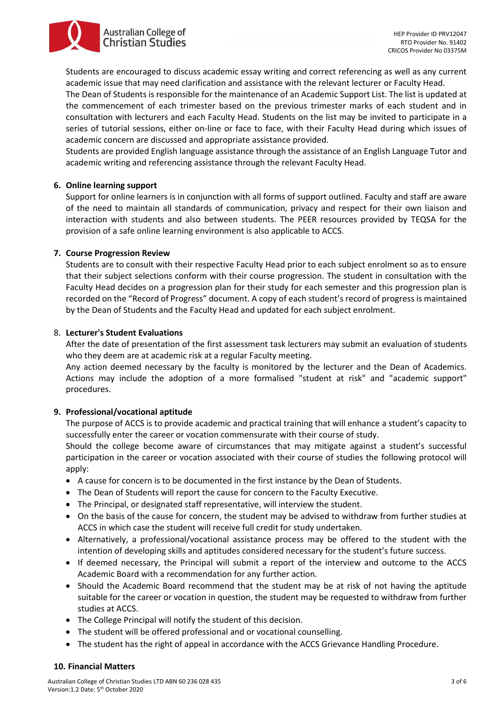Australian College of **Christian Studies** 

Students are encouraged to discuss academic essay writing and correct referencing as well as any current academic issue that may need clarification and assistance with the relevant lecturer or Faculty Head.

The Dean of Students is responsible for the maintenance of an Academic Support List. The list is updated at the commencement of each trimester based on the previous trimester marks of each student and in consultation with lecturers and each Faculty Head. Students on the list may be invited to participate in a series of tutorial sessions, either on-line or face to face, with their Faculty Head during which issues of academic concern are discussed and appropriate assistance provided.

Students are provided English language assistance through the assistance of an English Language Tutor and academic writing and referencing assistance through the relevant Faculty Head.

#### **6. Online learning support**

Support for online learners is in conjunction with all forms of support outlined. Faculty and staff are aware of the need to maintain all standards of communication, privacy and respect for their own liaison and interaction with students and also between students. The PEER resources provided by TEQSA for the provision of a safe online learning environment is also applicable to ACCS.

#### **7. Course Progression Review**

Students are to consult with their respective Faculty Head prior to each subject enrolment so as to ensure that their subject selections conform with their course progression. The student in consultation with the Faculty Head decides on a progression plan for their study for each semester and this progression plan is recorded on the "Record of Progress" document. A copy of each student's record of progress is maintained by the Dean of Students and the Faculty Head and updated for each subject enrolment.

#### 8. **Lecturer's Student Evaluations**

After the date of presentation of the first assessment task lecturers may submit an evaluation of students who they deem are at academic risk at a regular Faculty meeting.

Any action deemed necessary by the faculty is monitored by the lecturer and the Dean of Academics. Actions may include the adoption of a more formalised "student at risk" and "academic support" procedures.

#### **9. Professional/vocational aptitude**

The purpose of ACCS is to provide academic and practical training that will enhance a student's capacity to successfully enter the career or vocation commensurate with their course of study.

Should the college become aware of circumstances that may mitigate against a student's successful participation in the career or vocation associated with their course of studies the following protocol will apply:

- A cause for concern is to be documented in the first instance by the Dean of Students.
- The Dean of Students will report the cause for concern to the Faculty Executive.
- The Principal, or designated staff representative, will interview the student.
- On the basis of the cause for concern, the student may be advised to withdraw from further studies at ACCS in which case the student will receive full credit for study undertaken.
- Alternatively, a professional/vocational assistance process may be offered to the student with the intention of developing skills and aptitudes considered necessary for the student's future success.
- If deemed necessary, the Principal will submit a report of the interview and outcome to the ACCS Academic Board with a recommendation for any further action.
- Should the Academic Board recommend that the student may be at risk of not having the aptitude suitable for the career or vocation in question, the student may be requested to withdraw from further studies at ACCS.
- The College Principal will notify the student of this decision.
- The student will be offered professional and or vocational counselling.
- The student has the right of appeal in accordance with the ACCS Grievance Handling Procedure.

#### **10. Financial Matters**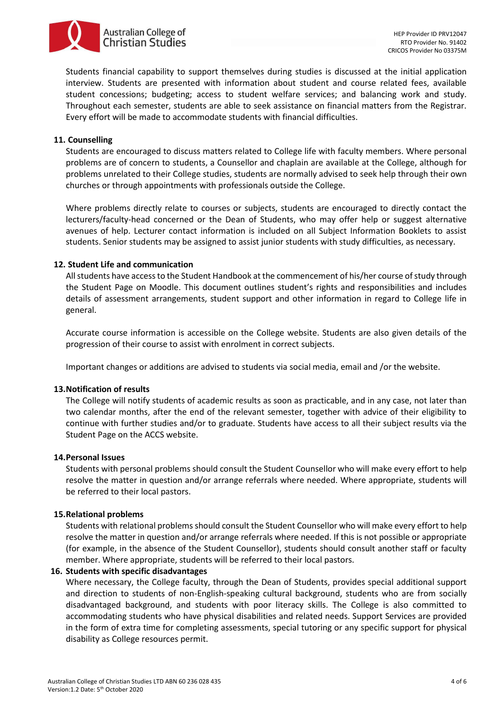

Students financial capability to support themselves during studies is discussed at the initial application interview. Students are presented with information about student and course related fees, available student concessions; budgeting; access to student welfare services; and balancing work and study. Throughout each semester, students are able to seek assistance on financial matters from the Registrar. Every effort will be made to accommodate students with financial difficulties.

#### **11. Counselling**

Students are encouraged to discuss matters related to College life with faculty members. Where personal problems are of concern to students, a Counsellor and chaplain are available at the College, although for problems unrelated to their College studies, students are normally advised to seek help through their own churches or through appointments with professionals outside the College.

Where problems directly relate to courses or subjects, students are encouraged to directly contact the lecturers/faculty-head concerned or the Dean of Students, who may offer help or suggest alternative avenues of help. Lecturer contact information is included on all Subject Information Booklets to assist students. Senior students may be assigned to assist junior students with study difficulties, as necessary.

#### **12. Student Life and communication**

All students have access to the Student Handbook at the commencement of his/her course of study through the Student Page on Moodle. This document outlines student's rights and responsibilities and includes details of assessment arrangements, student support and other information in regard to College life in general.

Accurate course information is accessible on the College website. Students are also given details of the progression of their course to assist with enrolment in correct subjects.

Important changes or additions are advised to students via social media, email and /or the website.

#### **13.Notification of results**

The College will notify students of academic results as soon as practicable, and in any case, not later than two calendar months, after the end of the relevant semester, together with advice of their eligibility to continue with further studies and/or to graduate. Students have access to all their subject results via the Student Page on the ACCS website.

#### **14.Personal Issues**

Students with personal problems should consult the Student Counsellor who will make every effort to help resolve the matter in question and/or arrange referrals where needed. Where appropriate, students will be referred to their local pastors.

#### **15.Relational problems**

Students with relational problems should consult the Student Counsellor who will make every effort to help resolve the matter in question and/or arrange referrals where needed. If this is not possible or appropriate (for example, in the absence of the Student Counsellor), students should consult another staff or faculty member. Where appropriate, students will be referred to their local pastors.

#### **16. Students with specific disadvantages**

Where necessary, the College faculty, through the Dean of Students, provides special additional support and direction to students of non-English-speaking cultural background, students who are from socially disadvantaged background, and students with poor literacy skills. The College is also committed to accommodating students who have physical disabilities and related needs. Support Services are provided in the form of extra time for completing assessments, special tutoring or any specific support for physical disability as College resources permit.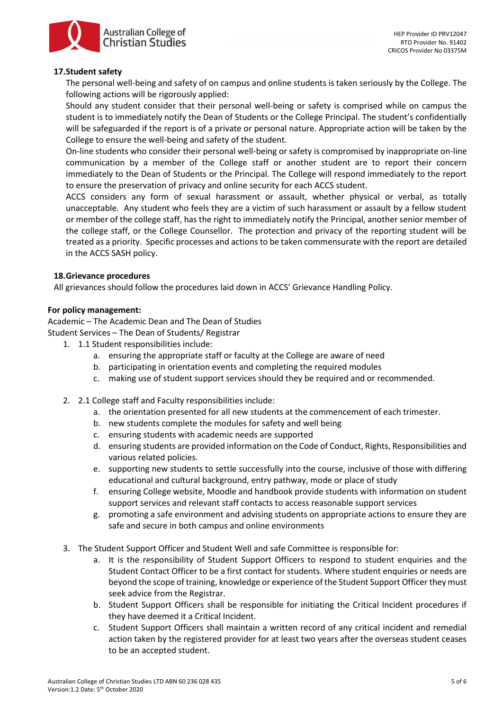

#### **17.Student safety**

The personal well-being and safety of on campus and online students is taken seriously by the College. The following actions will be rigorously applied:

Should any student consider that their personal well-being or safety is comprised while on campus the student is to immediately notify the Dean of Students or the College Principal. The student's confidentially will be safeguarded if the report is of a private or personal nature. Appropriate action will be taken by the College to ensure the well-being and safety of the student.

On-line students who consider their personal well-being or safety is compromised by inappropriate on-line communication by a member of the College staff or another student are to report their concern immediately to the Dean of Students or the Principal. The College will respond immediately to the report to ensure the preservation of privacy and online security for each ACCS student.

ACCS considers any form of sexual harassment or assault, whether physical or verbal, as totally unacceptable. Any student who feels they are a victim of such harassment or assault by a fellow student or member of the college staff, has the right to immediately notify the Principal, another senior member of the college staff, or the College Counsellor. The protection and privacy of the reporting student will be treated as a priority. Specific processes and actions to be taken commensurate with the report are detailed in the ACCS SASH policy.

#### **18.Grievance procedures**

All grievances should follow the procedures laid down in ACCS' Grievance Handling Policy.

#### **For policy management:**

Academic – The Academic Dean and The Dean of Studies

Student Services – The Dean of Students/ Registrar

- 1. 1.1 Student responsibilities include:
	- a. ensuring the appropriate staff or faculty at the College are aware of need
	- b. participating in orientation events and completing the required modules
	- c. making use of student support services should they be required and or recommended.
- 2. 2.1 College staff and Faculty responsibilities include:
	- a. the orientation presented for all new students at the commencement of each trimester.
	- b. new students complete the modules for safety and well being
	- c. ensuring students with academic needs are supported
	- d. ensuring students are provided information on the Code of Conduct, Rights, Responsibilities and various related policies.
	- e. supporting new students to settle successfully into the course, inclusive of those with differing educational and cultural background, entry pathway, mode or place of study
	- f. ensuring College website, Moodle and handbook provide students with information on student support services and relevant staff contacts to access reasonable support services
	- g. promoting a safe environment and advising students on appropriate actions to ensure they are safe and secure in both campus and online environments
- 3. The Student Support Officer and Student Well and safe Committee is responsible for:
	- a. It is the responsibility of Student Support Officers to respond to student enquiries and the Student Contact Officer to be a first contact for students. Where student enquiries or needs are beyond the scope of training, knowledge or experience of the Student Support Officer they must seek advice from the Registrar.
	- b. Student Support Officers shall be responsible for initiating the Critical Incident procedures if they have deemed it a Critical Incident.
	- c. Student Support Officers shall maintain a written record of any critical incident and remedial action taken by the registered provider for at least two years after the overseas student ceases to be an accepted student.